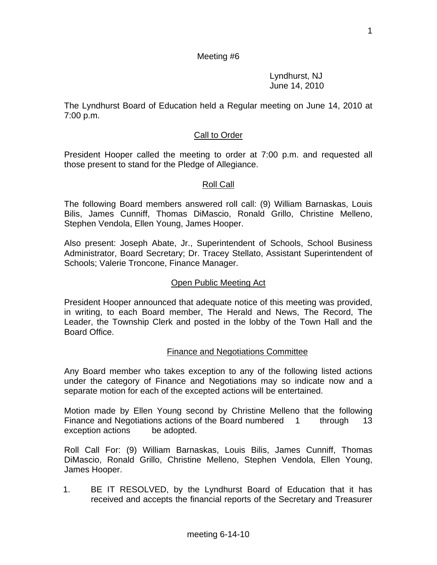### Meeting #6

 Lyndhurst, NJ June 14, 2010

The Lyndhurst Board of Education held a Regular meeting on June 14, 2010 at 7:00 p.m.

### Call to Order

President Hooper called the meeting to order at 7:00 p.m. and requested all those present to stand for the Pledge of Allegiance.

#### Roll Call

The following Board members answered roll call: (9) William Barnaskas, Louis Bilis, James Cunniff, Thomas DiMascio, Ronald Grillo, Christine Melleno, Stephen Vendola, Ellen Young, James Hooper.

Also present: Joseph Abate, Jr., Superintendent of Schools, School Business Administrator, Board Secretary; Dr. Tracey Stellato, Assistant Superintendent of Schools; Valerie Troncone, Finance Manager.

#### Open Public Meeting Act

President Hooper announced that adequate notice of this meeting was provided, in writing, to each Board member, The Herald and News, The Record, The Leader, the Township Clerk and posted in the lobby of the Town Hall and the Board Office.

#### Finance and Negotiations Committee

Any Board member who takes exception to any of the following listed actions under the category of Finance and Negotiations may so indicate now and a separate motion for each of the excepted actions will be entertained.

Motion made by Ellen Young second by Christine Melleno that the following Finance and Negotiations actions of the Board numbered 1 through 13 exception actions be adopted.

Roll Call For: (9) William Barnaskas, Louis Bilis, James Cunniff, Thomas DiMascio, Ronald Grillo, Christine Melleno, Stephen Vendola, Ellen Young, James Hooper.

1. BE IT RESOLVED, by the Lyndhurst Board of Education that it has received and accepts the financial reports of the Secretary and Treasurer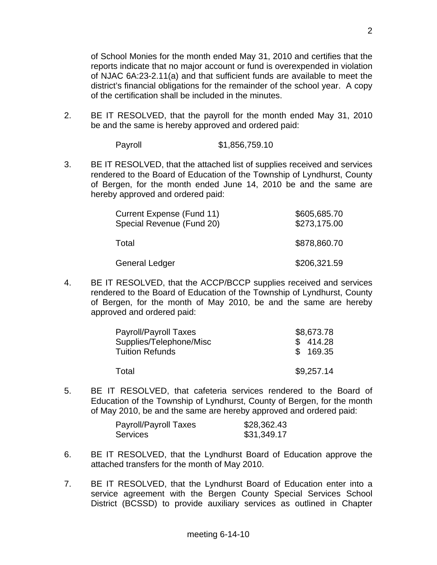of School Monies for the month ended May 31, 2010 and certifies that the reports indicate that no major account or fund is overexpended in violation of NJAC 6A:23-2.11(a) and that sufficient funds are available to meet the district's financial obligations for the remainder of the school year. A copy of the certification shall be included in the minutes.

2. BE IT RESOLVED, that the payroll for the month ended May 31, 2010 be and the same is hereby approved and ordered paid:

| Payroll | \$1,856,759.10 |
|---------|----------------|
|         |                |

3. BE IT RESOLVED, that the attached list of supplies received and services rendered to the Board of Education of the Township of Lyndhurst, County of Bergen, for the month ended June 14, 2010 be and the same are hereby approved and ordered paid:

| Current Expense (Fund 11)<br>Special Revenue (Fund 20) | \$605,685.70<br>\$273,175.00 |
|--------------------------------------------------------|------------------------------|
| Total                                                  | \$878,860.70                 |
| <b>General Ledger</b>                                  | \$206,321.59                 |

4. BE IT RESOLVED, that the ACCP/BCCP supplies received and services rendered to the Board of Education of the Township of Lyndhurst, County of Bergen, for the month of May 2010, be and the same are hereby approved and ordered paid:

| Payroll/Payroll Taxes   | \$8,673.78 |
|-------------------------|------------|
| Supplies/Telephone/Misc | \$414.28   |
| <b>Tuition Refunds</b>  | \$169.35   |
| Total                   | \$9,257.14 |
|                         |            |

5. BE IT RESOLVED, that cafeteria services rendered to the Board of Education of the Township of Lyndhurst, County of Bergen, for the month of May 2010, be and the same are hereby approved and ordered paid:

| Payroll/Payroll Taxes | \$28,362.43 |
|-----------------------|-------------|
| <b>Services</b>       | \$31,349.17 |

- 6. BE IT RESOLVED, that the Lyndhurst Board of Education approve the attached transfers for the month of May 2010.
- 7. BE IT RESOLVED, that the Lyndhurst Board of Education enter into a service agreement with the Bergen County Special Services School District (BCSSD) to provide auxiliary services as outlined in Chapter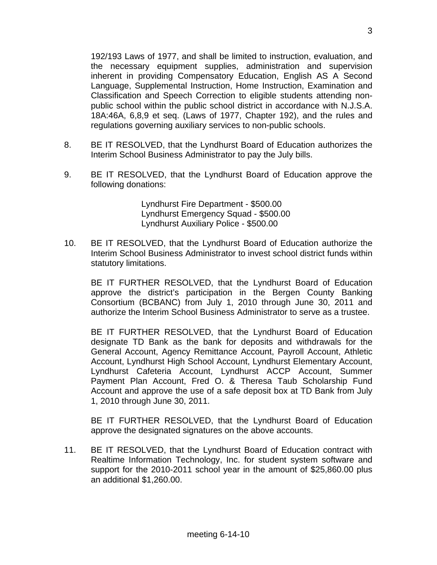192/193 Laws of 1977, and shall be limited to instruction, evaluation, and the necessary equipment supplies, administration and supervision inherent in providing Compensatory Education, English AS A Second Language, Supplemental Instruction, Home Instruction, Examination and Classification and Speech Correction to eligible students attending nonpublic school within the public school district in accordance with N.J.S.A. 18A:46A, 6,8,9 et seq. (Laws of 1977, Chapter 192), and the rules and regulations governing auxiliary services to non-public schools.

- 8. BE IT RESOLVED, that the Lyndhurst Board of Education authorizes the Interim School Business Administrator to pay the July bills.
- 9. BE IT RESOLVED, that the Lyndhurst Board of Education approve the following donations:

 Lyndhurst Fire Department - \$500.00 Lyndhurst Emergency Squad - \$500.00 Lyndhurst Auxiliary Police - \$500.00

10. BE IT RESOLVED, that the Lyndhurst Board of Education authorize the Interim School Business Administrator to invest school district funds within statutory limitations.

 BE IT FURTHER RESOLVED, that the Lyndhurst Board of Education approve the district's participation in the Bergen County Banking Consortium (BCBANC) from July 1, 2010 through June 30, 2011 and authorize the Interim School Business Administrator to serve as a trustee.

 BE IT FURTHER RESOLVED, that the Lyndhurst Board of Education designate TD Bank as the bank for deposits and withdrawals for the General Account, Agency Remittance Account, Payroll Account, Athletic Account, Lyndhurst High School Account, Lyndhurst Elementary Account, Lyndhurst Cafeteria Account, Lyndhurst ACCP Account, Summer Payment Plan Account, Fred O. & Theresa Taub Scholarship Fund Account and approve the use of a safe deposit box at TD Bank from July 1, 2010 through June 30, 2011.

 BE IT FURTHER RESOLVED, that the Lyndhurst Board of Education approve the designated signatures on the above accounts.

11. BE IT RESOLVED, that the Lyndhurst Board of Education contract with Realtime Information Technology, Inc. for student system software and support for the 2010-2011 school year in the amount of \$25,860.00 plus an additional \$1,260.00.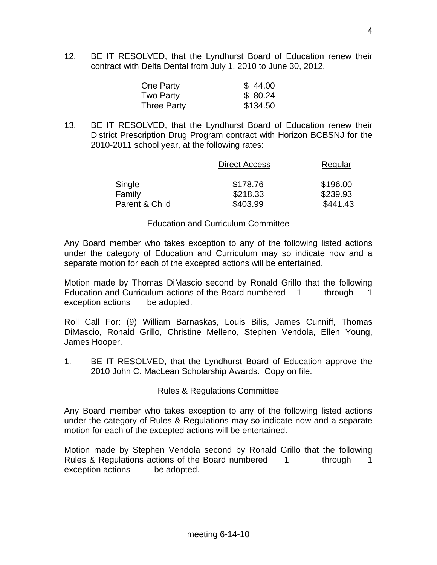12. BE IT RESOLVED, that the Lyndhurst Board of Education renew their contract with Delta Dental from July 1, 2010 to June 30, 2012.

| One Party          | \$44.00  |
|--------------------|----------|
| Two Party          | \$80.24  |
| <b>Three Party</b> | \$134.50 |

13. BE IT RESOLVED, that the Lyndhurst Board of Education renew their District Prescription Drug Program contract with Horizon BCBSNJ for the 2010-2011 school year, at the following rates:

|                | <b>Direct Access</b> | Regular  |
|----------------|----------------------|----------|
| Single         | \$178.76             | \$196.00 |
| Family         | \$218.33             | \$239.93 |
| Parent & Child | \$403.99             | \$441.43 |

#### Education and Curriculum Committee

Any Board member who takes exception to any of the following listed actions under the category of Education and Curriculum may so indicate now and a separate motion for each of the excepted actions will be entertained.

Motion made by Thomas DiMascio second by Ronald Grillo that the following Education and Curriculum actions of the Board numbered 1 through 1 exception actions be adopted.

Roll Call For: (9) William Barnaskas, Louis Bilis, James Cunniff, Thomas DiMascio, Ronald Grillo, Christine Melleno, Stephen Vendola, Ellen Young, James Hooper.

1. BE IT RESOLVED, that the Lyndhurst Board of Education approve the 2010 John C. MacLean Scholarship Awards. Copy on file.

# Rules & Regulations Committee

Any Board member who takes exception to any of the following listed actions under the category of Rules & Regulations may so indicate now and a separate motion for each of the excepted actions will be entertained.

Motion made by Stephen Vendola second by Ronald Grillo that the following Rules & Regulations actions of the Board numbered 1 through 1 exception actions be adopted.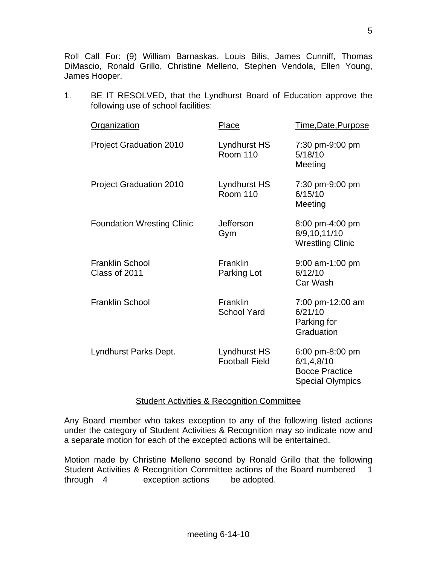Roll Call For: (9) William Barnaskas, Louis Bilis, James Cunniff, Thomas DiMascio, Ronald Grillo, Christine Melleno, Stephen Vendola, Ellen Young, James Hooper.

1. BE IT RESOLVED, that the Lyndhurst Board of Education approve the following use of school facilities:

| <b>Organization</b>                     | <b>Place</b>                          | Time, Date, Purpose                                                                 |
|-----------------------------------------|---------------------------------------|-------------------------------------------------------------------------------------|
| <b>Project Graduation 2010</b>          | Lyndhurst HS<br><b>Room 110</b>       | 7:30 pm-9:00 pm<br>5/18/10<br>Meeting                                               |
| <b>Project Graduation 2010</b>          | Lyndhurst HS<br><b>Room 110</b>       | 7:30 pm-9:00 pm<br>6/15/10<br>Meeting                                               |
| <b>Foundation Wresting Clinic</b>       | Jefferson<br>Gym                      | 8:00 pm-4:00 pm<br>8/9,10,11/10<br><b>Wrestling Clinic</b>                          |
| <b>Franklin School</b><br>Class of 2011 | Franklin<br>Parking Lot               | $9:00$ am-1:00 pm<br>6/12/10<br>Car Wash                                            |
| <b>Franklin School</b>                  | Franklin<br><b>School Yard</b>        | 7:00 pm-12:00 am<br>6/21/10<br>Parking for<br>Graduation                            |
| Lyndhurst Parks Dept.                   | Lyndhurst HS<br><b>Football Field</b> | 6:00 pm-8:00 pm<br>6/1, 4, 8/10<br><b>Bocce Practice</b><br><b>Special Olympics</b> |

### Student Activities & Recognition Committee

Any Board member who takes exception to any of the following listed actions under the category of Student Activities & Recognition may so indicate now and a separate motion for each of the excepted actions will be entertained.

Motion made by Christine Melleno second by Ronald Grillo that the following Student Activities & Recognition Committee actions of the Board numbered 1 through 4 exception actions be adopted.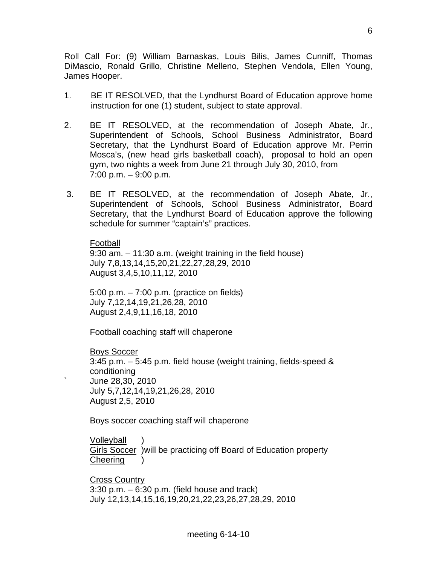Roll Call For: (9) William Barnaskas, Louis Bilis, James Cunniff, Thomas DiMascio, Ronald Grillo, Christine Melleno, Stephen Vendola, Ellen Young, James Hooper.

- 1. BE IT RESOLVED, that the Lyndhurst Board of Education approve home instruction for one (1) student, subject to state approval.
- 2. BE IT RESOLVED, at the recommendation of Joseph Abate, Jr., Superintendent of Schools, School Business Administrator, Board Secretary, that the Lyndhurst Board of Education approve Mr. Perrin Mosca's, (new head girls basketball coach), proposal to hold an open gym, two nights a week from June 21 through July 30, 2010, from 7:00 p.m. – 9:00 p.m.
- 3. BE IT RESOLVED, at the recommendation of Joseph Abate, Jr., Superintendent of Schools, School Business Administrator, Board Secretary, that the Lyndhurst Board of Education approve the following schedule for summer "captain's" practices.

Football 9:30 am. – 11:30 a.m. (weight training in the field house) July 7,8,13,14,15,20,21,22,27,28,29, 2010 August 3,4,5,10,11,12, 2010

 5:00 p.m. – 7:00 p.m. (practice on fields) July 7,12,14,19,21,26,28, 2010 August 2,4,9,11,16,18, 2010

Football coaching staff will chaperone

Boys Soccer 3:45 p.m. – 5:45 p.m. field house (weight training, fields-speed & conditioning ` June 28,30, 2010 July 5,7,12,14,19,21,26,28, 2010 August 2,5, 2010

Boys soccer coaching staff will chaperone

**Volleyball** Girls Soccer )will be practicing off Board of Education property **Cheering** 

Cross Country  $3:30$  p.m.  $-6:30$  p.m. (field house and track) July 12,13,14,15,16,19,20,21,22,23,26,27,28,29, 2010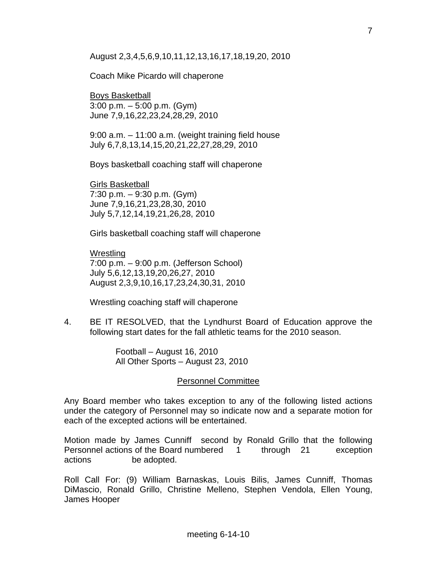## August 2,3,4,5,6,9,10,11,12,13,16,17,18,19,20, 2010

## Coach Mike Picardo will chaperone

Boys Basketball 3:00 p.m. – 5:00 p.m. (Gym) June 7,9,16,22,23,24,28,29, 2010

 9:00 a.m. – 11:00 a.m. (weight training field house July 6,7,8,13,14,15,20,21,22,27,28,29, 2010

Boys basketball coaching staff will chaperone

Girls Basketball 7:30 p.m. – 9:30 p.m. (Gym) June 7,9,16,21,23,28,30, 2010 July 5,7,12,14,19,21,26,28, 2010

Girls basketball coaching staff will chaperone

Wrestling 7:00 p.m. – 9:00 p.m. (Jefferson School) July 5,6,12,13,19,20,26,27, 2010 August 2,3,9,10,16,17,23,24,30,31, 2010

Wrestling coaching staff will chaperone

4. BE IT RESOLVED, that the Lyndhurst Board of Education approve the following start dates for the fall athletic teams for the 2010 season.

> Football – August 16, 2010 All Other Sports – August 23, 2010

# Personnel Committee

Any Board member who takes exception to any of the following listed actions under the category of Personnel may so indicate now and a separate motion for each of the excepted actions will be entertained.

Motion made by James Cunniff second by Ronald Grillo that the following Personnel actions of the Board numbered 1 through 21 exception actions be adopted.

Roll Call For: (9) William Barnaskas, Louis Bilis, James Cunniff, Thomas DiMascio, Ronald Grillo, Christine Melleno, Stephen Vendola, Ellen Young, James Hooper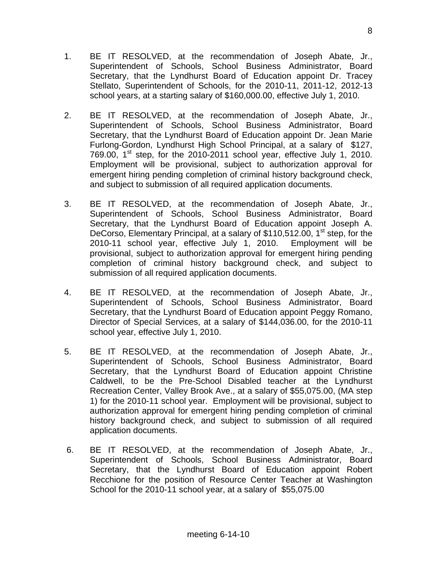- 1. BE IT RESOLVED, at the recommendation of Joseph Abate, Jr., Superintendent of Schools, School Business Administrator, Board Secretary, that the Lyndhurst Board of Education appoint Dr. Tracey Stellato, Superintendent of Schools, for the 2010-11, 2011-12, 2012-13 school years, at a starting salary of \$160,000.00, effective July 1, 2010.
- 2. BE IT RESOLVED, at the recommendation of Joseph Abate, Jr., Superintendent of Schools, School Business Administrator, Board Secretary, that the Lyndhurst Board of Education appoint Dr. Jean Marie Furlong-Gordon, Lyndhurst High School Principal, at a salary of \$127, 769.00,  $1<sup>st</sup>$  step, for the 2010-2011 school year, effective July 1, 2010. Employment will be provisional, subject to authorization approval for emergent hiring pending completion of criminal history background check, and subject to submission of all required application documents.
- 3. BE IT RESOLVED, at the recommendation of Joseph Abate, Jr., Superintendent of Schools, School Business Administrator, Board Secretary, that the Lyndhurst Board of Education appoint Joseph A. DeCorso, Elementary Principal, at a salary of \$110,512.00, 1<sup>st</sup> step, for the 2010-11 school year, effective July 1, 2010. Employment will be provisional, subject to authorization approval for emergent hiring pending completion of criminal history background check, and subject to submission of all required application documents.
- 4. BE IT RESOLVED, at the recommendation of Joseph Abate, Jr., Superintendent of Schools, School Business Administrator, Board Secretary, that the Lyndhurst Board of Education appoint Peggy Romano, Director of Special Services, at a salary of \$144,036.00, for the 2010-11 school year, effective July 1, 2010.
- 5. BE IT RESOLVED, at the recommendation of Joseph Abate, Jr., Superintendent of Schools, School Business Administrator, Board Secretary, that the Lyndhurst Board of Education appoint Christine Caldwell, to be the Pre-School Disabled teacher at the Lyndhurst Recreation Center, Valley Brook Ave., at a salary of \$55,075.00, (MA step 1) for the 2010-11 school year. Employment will be provisional, subject to authorization approval for emergent hiring pending completion of criminal history background check, and subject to submission of all required application documents.
- 6. BE IT RESOLVED, at the recommendation of Joseph Abate, Jr., Superintendent of Schools, School Business Administrator, Board Secretary, that the Lyndhurst Board of Education appoint Robert Recchione for the position of Resource Center Teacher at Washington School for the 2010-11 school year, at a salary of \$55,075.00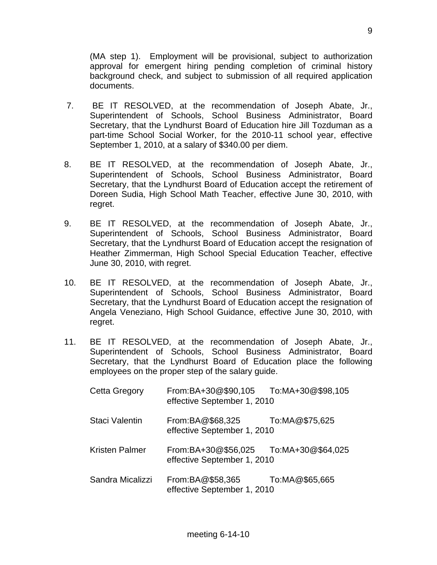(MA step 1). Employment will be provisional, subject to authorization approval for emergent hiring pending completion of criminal history background check, and subject to submission of all required application documents.

- 7. BE IT RESOLVED, at the recommendation of Joseph Abate, Jr., Superintendent of Schools, School Business Administrator, Board Secretary, that the Lyndhurst Board of Education hire Jill Tozduman as a part-time School Social Worker, for the 2010-11 school year, effective September 1, 2010, at a salary of \$340.00 per diem.
- 8. BE IT RESOLVED, at the recommendation of Joseph Abate, Jr., Superintendent of Schools, School Business Administrator, Board Secretary, that the Lyndhurst Board of Education accept the retirement of Doreen Sudia, High School Math Teacher, effective June 30, 2010, with regret.
- 9. BE IT RESOLVED, at the recommendation of Joseph Abate, Jr., Superintendent of Schools, School Business Administrator, Board Secretary, that the Lyndhurst Board of Education accept the resignation of Heather Zimmerman, High School Special Education Teacher, effective June 30, 2010, with regret.
- 10. BE IT RESOLVED, at the recommendation of Joseph Abate, Jr., Superintendent of Schools, School Business Administrator, Board Secretary, that the Lyndhurst Board of Education accept the resignation of Angela Veneziano, High School Guidance, effective June 30, 2010, with regret.
- 11. BE IT RESOLVED, at the recommendation of Joseph Abate, Jr., Superintendent of Schools, School Business Administrator, Board Secretary, that the Lyndhurst Board of Education place the following employees on the proper step of the salary guide.

| <b>Cetta Gregory</b>  | From:BA+30@\$90,105<br>effective September 1, 2010 | To:MA+30@\$98,105 |
|-----------------------|----------------------------------------------------|-------------------|
| Staci Valentin        | From:BA@\$68,325<br>effective September 1, 2010    | To:MA@\$75,625    |
| <b>Kristen Palmer</b> | From:BA+30@\$56,025<br>effective September 1, 2010 | To:MA+30@\$64,025 |
| Sandra Micalizzi      | From:BA@\$58,365<br>effective September 1, 2010    | To:MA@\$65,665    |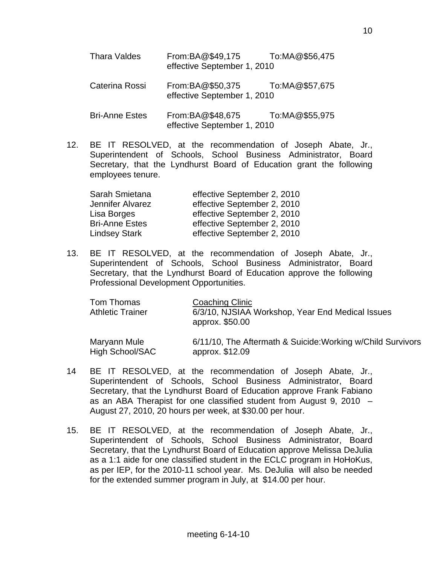| <b>Thara Valdes</b>   | From:BA@\$49,175 To:MA@\$56,475<br>effective September 1, 2010 |  |  |  |
|-----------------------|----------------------------------------------------------------|--|--|--|
| Caterina Rossi        | From:BA@\$50,375 To:MA@\$57,675<br>effective September 1, 2010 |  |  |  |
| <b>Bri-Anne Estes</b> | From:BA@\$48,675 To:MA@\$55,975<br>effective September 1, 2010 |  |  |  |

 12. BE IT RESOLVED, at the recommendation of Joseph Abate, Jr., Superintendent of Schools, School Business Administrator, Board Secretary, that the Lyndhurst Board of Education grant the following employees tenure.

| Sarah Smietana        | effective September 2, 2010 |
|-----------------------|-----------------------------|
| Jennifer Alvarez      | effective September 2, 2010 |
| Lisa Borges           | effective September 2, 2010 |
| <b>Bri-Anne Estes</b> | effective September 2, 2010 |
| <b>Lindsey Stark</b>  | effective September 2, 2010 |

 13. BE IT RESOLVED, at the recommendation of Joseph Abate, Jr., Superintendent of Schools, School Business Administrator, Board Secretary, that the Lyndhurst Board of Education approve the following Professional Development Opportunities.

| Tom Thomas<br><b>Athletic Trainer</b> | Coaching Clinic<br>6/3/10, NJSIAA Workshop, Year End Medical Issues<br>approx. \$50.00 |
|---------------------------------------|----------------------------------------------------------------------------------------|
| Maryann Mule<br>High School/SAC       | 6/11/10, The Aftermath & Suicide: Working w/Child Survivors<br>approx. \$12.09         |

- 14 BE IT RESOLVED, at the recommendation of Joseph Abate, Jr., Superintendent of Schools, School Business Administrator, Board Secretary, that the Lyndhurst Board of Education approve Frank Fabiano as an ABA Therapist for one classified student from August 9, 2010 – August 27, 2010, 20 hours per week, at \$30.00 per hour.
- 15. BE IT RESOLVED, at the recommendation of Joseph Abate, Jr., Superintendent of Schools, School Business Administrator, Board Secretary, that the Lyndhurst Board of Education approve Melissa DeJulia as a 1:1 aide for one classified student in the ECLC program in HoHoKus, as per IEP, for the 2010-11 school year. Ms. DeJulia will also be needed for the extended summer program in July, at \$14.00 per hour.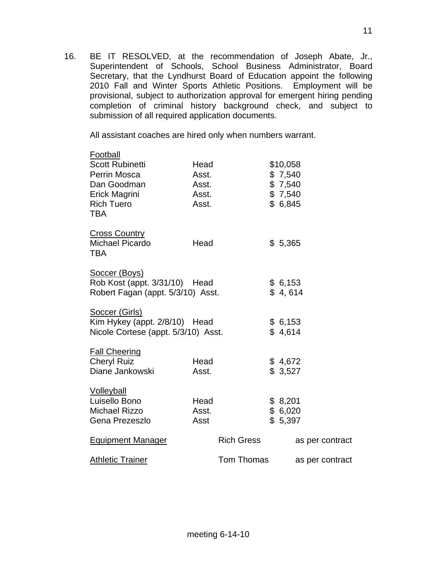16. BE IT RESOLVED, at the recommendation of Joseph Abate, Jr., Superintendent of Schools, School Business Administrator, Board Secretary, that the Lyndhurst Board of Education appoint the following 2010 Fall and Winter Sports Athletic Positions. Employment will be provisional, subject to authorization approval for emergent hiring pending completion of criminal history background check, and subject to submission of all required application documents.

All assistant coaches are hired only when numbers warrant.

| Football<br><b>Scott Rubinetti</b><br>Perrin Mosca<br>Dan Goodman<br>Erick Magrini<br><b>Rich Tuero</b><br><b>TBA</b> | Head<br>Asst.<br>Asst.<br>Asst.<br>Asst. |                   | \$10,058<br>\$7,540<br>\$7,540<br>\$7,540<br>\$6,845 |                 |
|-----------------------------------------------------------------------------------------------------------------------|------------------------------------------|-------------------|------------------------------------------------------|-----------------|
| <b>Cross Country</b><br>Michael Picardo<br><b>TBA</b>                                                                 | Head                                     |                   | \$5,365                                              |                 |
| Soccer (Boys)<br>Rob Kost (appt. 3/31/10) Head<br>Robert Fagan (appt. 5/3/10) Asst.                                   |                                          |                   | \$6,153<br>\$4,614                                   |                 |
| Soccer (Girls)<br>Kim Hykey (appt. 2/8/10) Head<br>Nicole Cortese (appt. 5/3/10) Asst.                                |                                          |                   | \$6,153<br>\$4,614                                   |                 |
| <b>Fall Cheering</b><br><b>Cheryl Ruiz</b><br>Diane Jankowski                                                         | Head<br>Asst.                            |                   | \$4,672<br>\$3,527                                   |                 |
| <b>Volleyball</b><br>Luisello Bono<br>Michael Rizzo<br>Gena Prezeszlo                                                 | Head<br>Asst.<br>Asst                    |                   | \$8,201<br>\$6,020<br>\$5,397                        |                 |
| <b>Equipment Manager</b>                                                                                              |                                          | <b>Rich Gress</b> |                                                      | as per contract |
| <b>Athletic Trainer</b>                                                                                               |                                          | Tom Thomas        |                                                      | as per contract |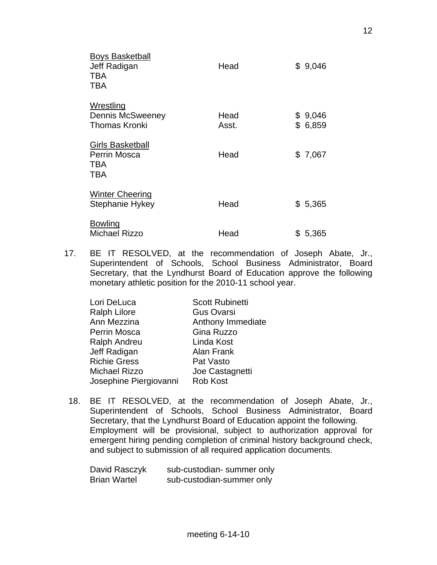| <b>Boys Basketball</b><br>Jeff Radigan<br><b>TBA</b><br><b>TBA</b>         | Head          | \$9,046            |
|----------------------------------------------------------------------------|---------------|--------------------|
| <b>Wrestling</b><br>Dennis McSweeney<br><b>Thomas Kronki</b>               | Head<br>Asst. | \$9,046<br>\$6,859 |
| <b>Girls Basketball</b><br><b>Perrin Mosca</b><br><b>TBA</b><br><b>TBA</b> | Head          | \$7,067            |
| <b>Winter Cheering</b><br>Stephanie Hykey                                  | Head          | \$5,365            |
| <b>Bowling</b><br><b>Michael Rizzo</b>                                     | Head          | \$ 5,365           |

17. BE IT RESOLVED, at the recommendation of Joseph Abate, Jr., Superintendent of Schools, School Business Administrator, Board Secretary, that the Lyndhurst Board of Education approve the following monetary athletic position for the 2010-11 school year.

| Lori DeLuca            | <b>Scott Rubinetti</b> |
|------------------------|------------------------|
| <b>Ralph Lilore</b>    | <b>Gus Ovarsi</b>      |
| Ann Mezzina            | Anthony Immediate      |
| Perrin Mosca           | Gina Ruzzo             |
| <b>Ralph Andreu</b>    | Linda Kost             |
| Jeff Radigan           | Alan Frank             |
| <b>Richie Gress</b>    | Pat Vasto              |
| <b>Michael Rizzo</b>   | Joe Castagnetti        |
| Josephine Piergiovanni | <b>Rob Kost</b>        |

18. BE IT RESOLVED, at the recommendation of Joseph Abate, Jr., Superintendent of Schools, School Business Administrator, Board Secretary, that the Lyndhurst Board of Education appoint the following. Employment will be provisional, subject to authorization approval for emergent hiring pending completion of criminal history background check, and subject to submission of all required application documents.

| David Rasczyk       | sub-custodian- summer only |
|---------------------|----------------------------|
| <b>Brian Wartel</b> | sub-custodian-summer only  |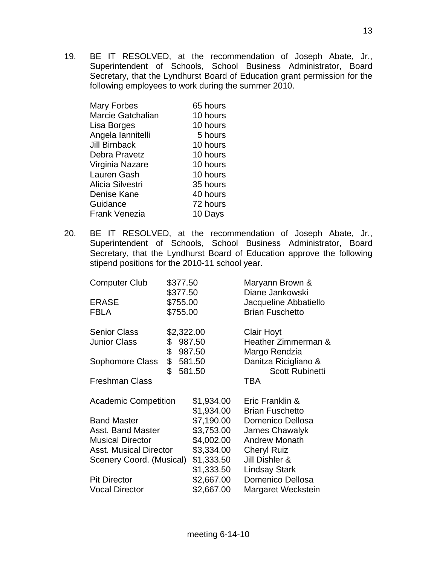19. BE IT RESOLVED, at the recommendation of Joseph Abate, Jr., Superintendent of Schools, School Business Administrator, Board Secretary, that the Lyndhurst Board of Education grant permission for the following employees to work during the summer 2010.

| <b>Mary Forbes</b>   | 65 hours |
|----------------------|----------|
| Marcie Gatchalian    | 10 hours |
| Lisa Borges          | 10 hours |
| Angela lannitelli    | 5 hours  |
| <b>Jill Birnback</b> | 10 hours |
| Debra Pravetz        | 10 hours |
| Virginia Nazare      | 10 hours |
| Lauren Gash          | 10 hours |
| Alicia Silvestri     | 35 hours |
| Denise Kane          | 40 hours |
| Guidance             | 72 hours |
| <b>Frank Venezia</b> | 10 Days  |

20. BE IT RESOLVED, at the recommendation of Joseph Abate, Jr., Superintendent of Schools, School Business Administrator, Board Secretary, that the Lyndhurst Board of Education approve the following stipend positions for the 2010-11 school year.

| <b>Computer Club</b>          | \$377.50             |            | Maryann Brown &                          |
|-------------------------------|----------------------|------------|------------------------------------------|
| <b>ERASE</b>                  | \$377.50<br>\$755.00 |            | Diane Jankowski<br>Jacqueline Abbatiello |
| <b>FBLA</b>                   | \$755.00             |            | <b>Brian Fuschetto</b>                   |
|                               |                      |            |                                          |
| <b>Senior Class</b>           | \$2,322.00           |            | Clair Hoyt                               |
| <b>Junior Class</b>           | \$                   | 987.50     | Heather Zimmerman &                      |
|                               | \$                   | 987.50     | Margo Rendzia                            |
| Sophomore Class               | \$                   | 581.50     | Danitza Ricigliano &                     |
|                               | \$                   | 581.50     | <b>Scott Rubinetti</b>                   |
| <b>Freshman Class</b>         |                      |            | TBA                                      |
| <b>Academic Competition</b>   |                      | \$1,934.00 | Eric Franklin &                          |
|                               |                      | \$1,934.00 | <b>Brian Fuschetto</b>                   |
| <b>Band Master</b>            |                      | \$7,190.00 | Domenico Dellosa                         |
| Asst. Band Master             |                      | \$3,753.00 | James Chawalyk                           |
| <b>Musical Director</b>       |                      | \$4,002.00 | <b>Andrew Monath</b>                     |
| <b>Asst. Musical Director</b> |                      | \$3,334.00 | <b>Cheryl Ruiz</b>                       |
| Scenery Coord. (Musical)      |                      | \$1,333.50 | Jill Dishler &                           |
|                               |                      | \$1,333.50 | <b>Lindsay Stark</b>                     |
| <b>Pit Director</b>           |                      | \$2,667.00 | Domenico Dellosa                         |
| <b>Vocal Director</b>         |                      | \$2,667.00 | Margaret Weckstein                       |
|                               |                      |            |                                          |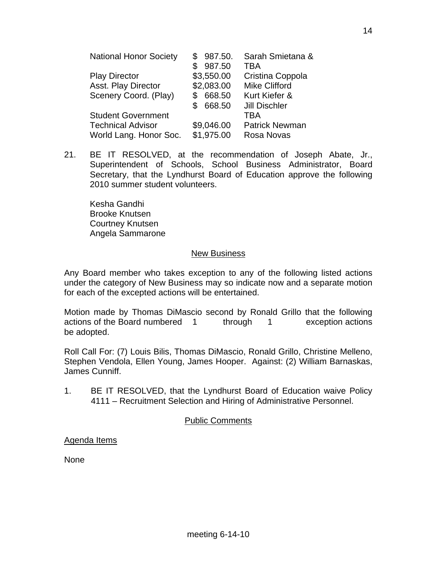| 987.50.<br>S. | Sarah Smietana &      |
|---------------|-----------------------|
| 987.50        | <b>TBA</b>            |
| \$3,550.00    | Cristina Coppola      |
| \$2,083.00    | <b>Mike Clifford</b>  |
| 668.50<br>S   | Kurt Kiefer &         |
| 668.50        | <b>Jill Dischler</b>  |
|               | <b>TBA</b>            |
| \$9,046.00    | <b>Patrick Newman</b> |
|               | Rosa Novas            |
|               | \$1,975.00            |

21. BE IT RESOLVED, at the recommendation of Joseph Abate, Jr., Superintendent of Schools, School Business Administrator, Board Secretary, that the Lyndhurst Board of Education approve the following 2010 summer student volunteers.

 Kesha Gandhi Brooke Knutsen Courtney Knutsen Angela Sammarone

### New Business

Any Board member who takes exception to any of the following listed actions under the category of New Business may so indicate now and a separate motion for each of the excepted actions will be entertained.

Motion made by Thomas DiMascio second by Ronald Grillo that the following actions of the Board numbered 1 through 1 exception actions be adopted.

Roll Call For: (7) Louis Bilis, Thomas DiMascio, Ronald Grillo, Christine Melleno, Stephen Vendola, Ellen Young, James Hooper. Against: (2) William Barnaskas, James Cunniff.

1. BE IT RESOLVED, that the Lyndhurst Board of Education waive Policy 4111 – Recruitment Selection and Hiring of Administrative Personnel.

# Public Comments

Agenda Items

None